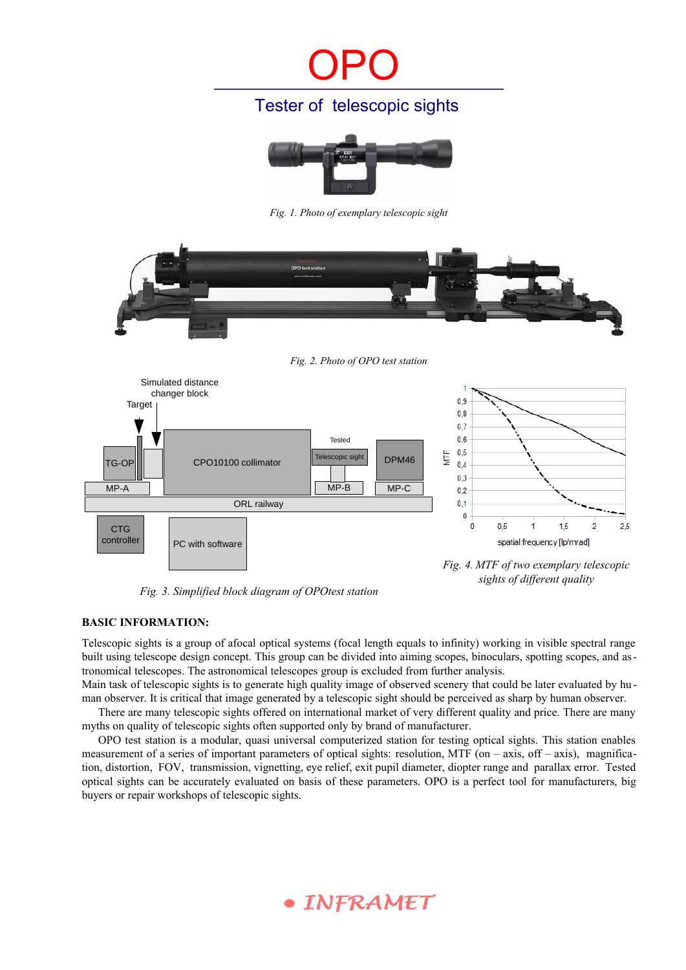# OPO

### Tester of telescopic sights



*Fig. 1. Photo of exemplary telescopic sight*



*Fig. 3. Simplified block diagram of OPOtest station*

*Fig. 4. MTF of two exemplary telescopic sights of different quality*

#### **BASIC INFORMATION:**

Telescopic sights is a group of afocal optical systems (focal length equals to infinity) working in visible spectral range built using telescope design concept. This group can be divided into aiming scopes, binoculars, spotting scopes, and astronomical telescopes. The astronomical telescopes group is excluded from further analysis.

Main task of telescopic sights is to generate high quality image of observed scenery that could be later evaluated by human observer. It is critical that image generated by a telescopic sight should be perceived as sharp by human observer.

There are many telescopic sights offered on international market of very different quality and price. There are many myths on quality of telescopic sights often supported only by brand of manufacturer.

OPO test station is a modular, quasi universal computerized station for testing optical sights. This station enables measurement of a series of important parameters of optical sights: resolution, MTF (on – axis, off – axis), magnification, distortion, FOV, transmission, vignetting, eye relief, exit pupil diameter, diopter range and parallax error. Tested optical sights can be accurately evaluated on basis of these parameters. OPO is a perfect tool for manufacturers, big buyers or repair workshops of telescopic sights.

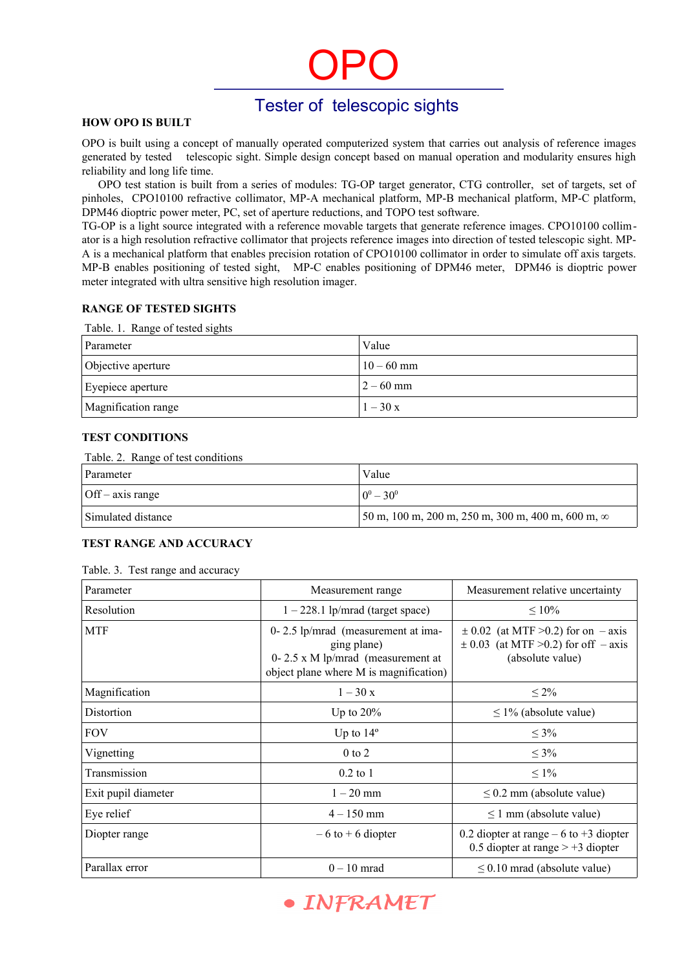# OPO

### Tester of telescopic sights

#### **HOW OPO IS BUILT**

OPO is built using a concept of manually operated computerized system that carries out analysis of reference images generated by tested telescopic sight. Simple design concept based on manual operation and modularity ensures high reliability and long life time.

OPO test station is built from a series of modules: TG-OP target generator, CTG controller, set of targets, set of pinholes, CPO10100 refractive collimator, MP-A mechanical platform, MP-B mechanical platform, MP-C platform, DPM46 dioptric power meter, PC, set of aperture reductions, and TOPO test software.

TG-OP is a light source integrated with a reference movable targets that generate reference images. CPO10100 collimator is a high resolution refractive collimator that projects reference images into direction of tested telescopic sight. MP-A is a mechanical platform that enables precision rotation of CPO10100 collimator in order to simulate off axis targets. MP-B enables positioning of tested sight, MP-C enables positioning of DPM46 meter, DPM46 is dioptric power meter integrated with ultra sensitive high resolution imager.

#### **RANGE OF TESTED SIGHTS**

|  |  | Table. 1. Range of tested sights |  |
|--|--|----------------------------------|--|
|  |  |                                  |  |

| Parameter           | Value        |
|---------------------|--------------|
| Objective aperture  | $10 - 60$ mm |
| Eyepiece aperture   | $2 - 60$ mm  |
| Magnification range | $1 - 30x$    |

#### **TEST CONDITIONS**

#### Table. 2. Range of test conditions

| Parameter               | Value                                                                               |
|-------------------------|-------------------------------------------------------------------------------------|
| $\int$ Off – axis range | $0^0 - 30^0$                                                                        |
| Simulated distance      | $\frac{150 \text{ m}}{200 \text{ m}}$ , 200 m, 250 m, 300 m, 400 m, 600 m, $\infty$ |

#### **TEST RANGE AND ACCURACY**

#### Table. 3. Test range and accuracy

| Parameter           | Measurement range                                                                                                                    | Measurement relative uncertainty                                                                      |
|---------------------|--------------------------------------------------------------------------------------------------------------------------------------|-------------------------------------------------------------------------------------------------------|
| Resolution          | $1 - 228.1$ lp/mrad (target space)                                                                                                   | $\leq 10\%$                                                                                           |
| <b>MTF</b>          | $0 - 2.5$ lp/mrad (measurement at ima-<br>ging plane)<br>0-2.5 x M lp/mrad (measurement at<br>object plane where M is magnification) | $\pm$ 0.02 (at MTF >0.2) for on – axis<br>$\pm$ 0.03 (at MTF >0.2) for off – axis<br>(absolute value) |
| Magnification       | $1 - 30x$                                                                                                                            | $\leq 2\%$                                                                                            |
| Distortion          | Up to $20\%$                                                                                                                         | $\leq$ 1% (absolute value)                                                                            |
| <b>FOV</b>          | Up to $14^{\circ}$                                                                                                                   | $\leq 3\%$                                                                                            |
| Vignetting          | $0$ to $2$                                                                                                                           | $\leq 3\%$                                                                                            |
| Transmission        | $0.2$ to 1                                                                                                                           | $\leq 1\%$                                                                                            |
| Exit pupil diameter | $1 - 20$ mm                                                                                                                          | $\leq$ 0.2 mm (absolute value)                                                                        |
| Eye relief          | $4 - 150$ mm                                                                                                                         | $\leq 1$ mm (absolute value)                                                                          |
| Diopter range       | $-6$ to $+6$ diopter                                                                                                                 | 0.2 diopter at range $-6$ to $+3$ diopter<br>0.5 diopter at range $> +3$ diopter                      |
| Parallax error      | $0-10$ mrad                                                                                                                          | $\leq$ 0.10 mrad (absolute value)                                                                     |

## • INFRAMET